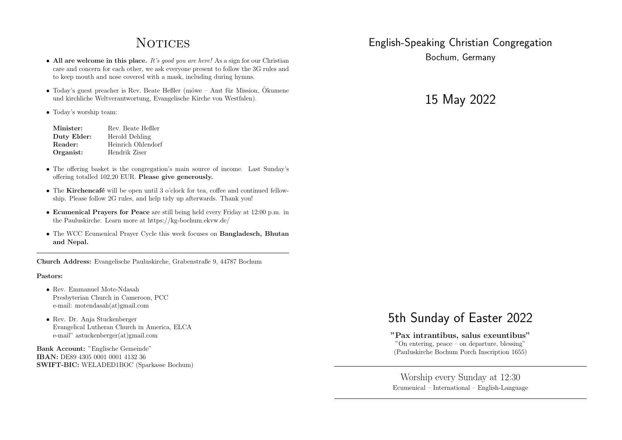## **NOTICES**

- All are welcome in this place. *It's good you are here!* As a sign for our Christian care and concern for each other, we ask everyone present to follow the 3G rules and to keep mouth and nose covered with a mask, including during hymns.
- Today's guest preacher is Rev. Beate Heßler (möwe Amt für Mission, Ökumene und kirchliche Weltverantwortung, Evangelische Kirche von Westfalen).
- *•* Today's worship team:

| Minister:   | Rev. Beate Heßler  |
|-------------|--------------------|
| Duty Elder: | Herold Dehling     |
| Reader:     | Heinrich Ohlendorf |
| Organist:   | Hendrik Ziser      |

- The offering basket is the congregation's main source of income. Last Sunday's offering totalled 102,20 EUR. Please give generously.
- The Kirchencafé will be open until 3 o'clock for tea, coffee and continued fellowship. Please follow 2G rules, and help tidy up afterwards. Thank you!
- *•* Ecumenical Prayers for Peace are still being held every Friday at 12:00 p.m. in the Pauluskirche. Learn more at https://kg-bochum.ekvw.de/
- The WCC Ecumenical Prayer Cycle this week focuses on **Bangladesch**, **Bhutan** and Nepal.

Church Address: Evangelische Pauluskirche, Grabenstraße 9, 44787 Bochum

### Pastors:

- *•* Rev. Emmanuel Mote-Ndasah Presbyterian Church in Cameroon, PCC e-mail: motendasah(at)gmail.com
- *•* Rev. Dr. Anja Stuckenberger Evangelical Lutheran Church in America, ELCA e-mail" astuckenberger(at)gmail.com

Bank Account: "Englische Gemeinde" IBAN: DE89 4305 0001 0001 4132 36 SWIFT-BIC: WELADED1BOC (Sparkasse Bochum)

## English-Speaking Christian Congregation

Bochum, Germany

15 May 2022

# 5th Sunday of Easter 2022

"Pax intrantibus, salus exeuntibus" "On entering, peace – on departure, blessing" (Pauluskirche Bochum Porch Inscription 1655)

Worship every Sunday at 12:30 Ecumenical – International – English-Language